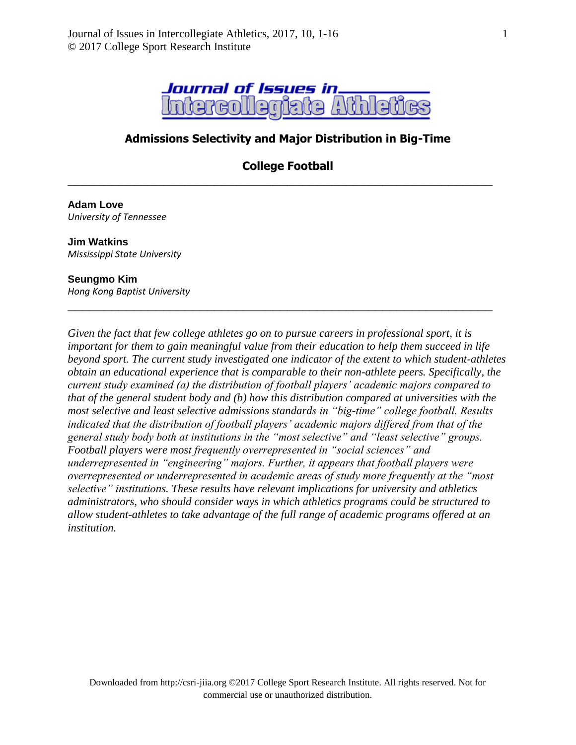

# **Admissions Selectivity and Major Distribution in Big-Time**

**College Football**

**\_\_\_\_\_\_\_\_\_\_\_\_\_\_\_\_\_\_\_\_\_\_\_\_\_\_\_\_\_\_\_\_\_\_\_\_\_\_\_\_\_\_\_\_\_\_\_\_\_\_\_\_\_\_\_\_\_\_**

**\_\_\_\_\_\_\_\_\_\_\_\_\_\_\_\_\_\_\_\_\_\_\_\_\_\_\_\_\_\_\_\_\_\_\_\_\_\_\_\_\_\_\_\_\_\_\_\_\_\_\_\_\_\_\_\_\_\_**

#### **Adam Love** *University of Tennessee*

**Jim Watkins** *Mississippi State University*

#### **Seungmo Kim**

*Hong Kong Baptist University*

*Given the fact that few college athletes go on to pursue careers in professional sport, it is important for them to gain meaningful value from their education to help them succeed in life beyond sport. The current study investigated one indicator of the extent to which student-athletes obtain an educational experience that is comparable to their non-athlete peers. Specifically, the current study examined (a) the distribution of football players' academic majors compared to that of the general student body and (b) how this distribution compared at universities with the most selective and least selective admissions standards in "big-time" college football. Results indicated that the distribution of football players' academic majors differed from that of the general study body both at institutions in the "most selective" and "least selective" groups. Football players were most frequently overrepresented in "social sciences" and underrepresented in "engineering" majors. Further, it appears that football players were overrepresented or underrepresented in academic areas of study more frequently at the "most selective" institutions. These results have relevant implications for university and athletics administrators, who should consider ways in which athletics programs could be structured to allow student-athletes to take advantage of the full range of academic programs offered at an institution.*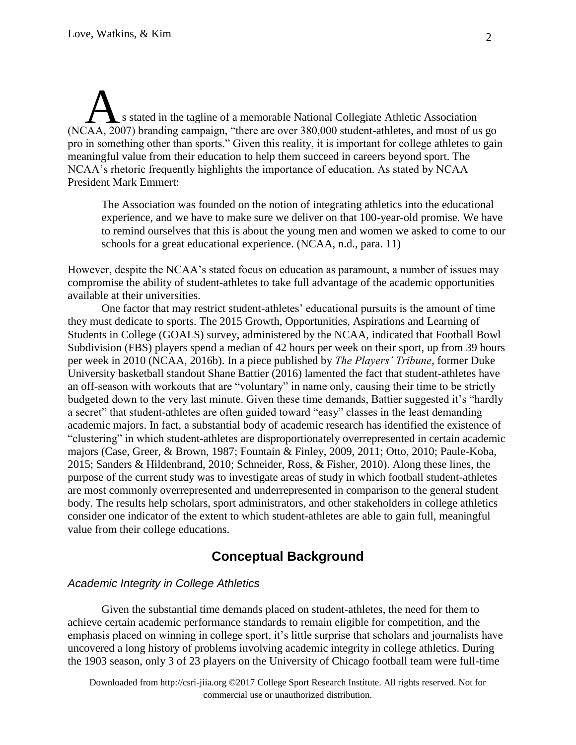s stated in the tagline of a memorable National Collegiate Athletic Association s stated in the tagline of a memorable National Collegiate Athletic Association<br>(NCAA, 2007) branding campaign, "there are over 380,000 student-athletes, and most of us go pro in something other than sports." Given this reality, it is important for college athletes to gain meaningful value from their education to help them succeed in careers beyond sport. The NCAA's rhetoric frequently highlights the importance of education. As stated by NCAA President Mark Emmert:

The Association was founded on the notion of integrating athletics into the educational experience, and we have to make sure we deliver on that 100-year-old promise. We have to remind ourselves that this is about the young men and women we asked to come to our schools for a great educational experience. (NCAA, n.d., para. 11)

However, despite the NCAA's stated focus on education as paramount, a number of issues may compromise the ability of student-athletes to take full advantage of the academic opportunities available at their universities.

One factor that may restrict student-athletes' educational pursuits is the amount of time they must dedicate to sports. The 2015 Growth, Opportunities, Aspirations and Learning of Students in College (GOALS) survey, administered by the NCAA, indicated that Football Bowl Subdivision (FBS) players spend a median of 42 hours per week on their sport, up from 39 hours per week in 2010 (NCAA, 2016b). In a piece published by *The Players' Tribune*, former Duke University basketball standout Shane Battier (2016) lamented the fact that student-athletes have an off-season with workouts that are "voluntary" in name only, causing their time to be strictly budgeted down to the very last minute. Given these time demands, Battier suggested it's "hardly a secret" that student-athletes are often guided toward "easy" classes in the least demanding academic majors. In fact, a substantial body of academic research has identified the existence of "clustering" in which student-athletes are disproportionately overrepresented in certain academic majors (Case, Greer, & Brown, 1987; Fountain & Finley, 2009, 2011; Otto, 2010; Paule-Koba, 2015; Sanders & Hildenbrand, 2010; Schneider, Ross, & Fisher, 2010). Along these lines, the purpose of the current study was to investigate areas of study in which football student-athletes are most commonly overrepresented and underrepresented in comparison to the general student body. The results help scholars, sport administrators, and other stakeholders in college athletics consider one indicator of the extent to which student-athletes are able to gain full, meaningful value from their college educations.

# **Conceptual Background**

#### *Academic Integrity in College Athletics*

Given the substantial time demands placed on student-athletes, the need for them to achieve certain academic performance standards to remain eligible for competition, and the emphasis placed on winning in college sport, it's little surprise that scholars and journalists have uncovered a long history of problems involving academic integrity in college athletics. During the 1903 season, only 3 of 23 players on the University of Chicago football team were full-time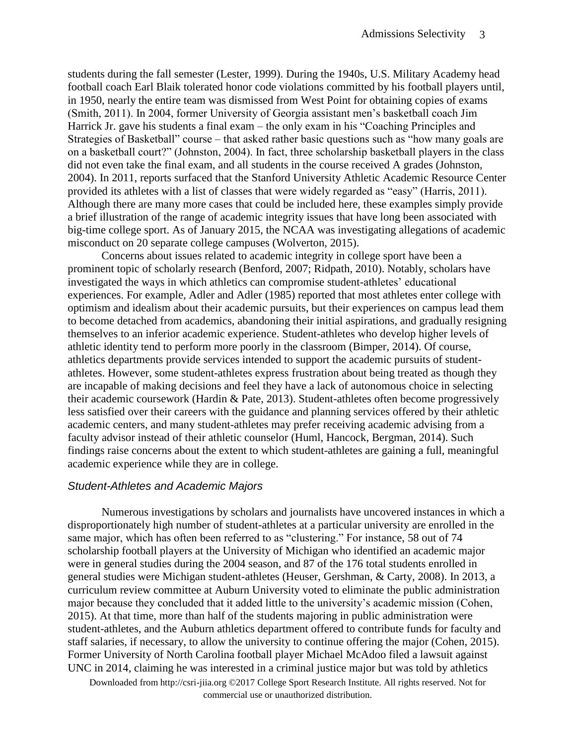students during the fall semester (Lester, 1999). During the 1940s, U.S. Military Academy head football coach Earl Blaik tolerated honor code violations committed by his football players until, in 1950, nearly the entire team was dismissed from West Point for obtaining copies of exams (Smith, 2011). In 2004, former University of Georgia assistant men's basketball coach Jim Harrick Jr. gave his students a final exam – the only exam in his "Coaching Principles and Strategies of Basketball" course – that asked rather basic questions such as "how many goals are on a basketball court?" (Johnston, 2004). In fact, three scholarship basketball players in the class did not even take the final exam, and all students in the course received A grades (Johnston, 2004). In 2011, reports surfaced that the Stanford University Athletic Academic Resource Center provided its athletes with a list of classes that were widely regarded as "easy" (Harris, 2011). Although there are many more cases that could be included here, these examples simply provide a brief illustration of the range of academic integrity issues that have long been associated with big-time college sport. As of January 2015, the NCAA was investigating allegations of academic misconduct on 20 separate college campuses (Wolverton, 2015).

Concerns about issues related to academic integrity in college sport have been a prominent topic of scholarly research (Benford, 2007; Ridpath, 2010). Notably, scholars have investigated the ways in which athletics can compromise student-athletes' educational experiences. For example, Adler and Adler (1985) reported that most athletes enter college with optimism and idealism about their academic pursuits, but their experiences on campus lead them to become detached from academics, abandoning their initial aspirations, and gradually resigning themselves to an inferior academic experience. Student-athletes who develop higher levels of athletic identity tend to perform more poorly in the classroom (Bimper, 2014). Of course, athletics departments provide services intended to support the academic pursuits of studentathletes. However, some student-athletes express frustration about being treated as though they are incapable of making decisions and feel they have a lack of autonomous choice in selecting their academic coursework (Hardin & Pate, 2013). Student-athletes often become progressively less satisfied over their careers with the guidance and planning services offered by their athletic academic centers, and many student-athletes may prefer receiving academic advising from a faculty advisor instead of their athletic counselor (Huml, Hancock, Bergman, 2014). Such findings raise concerns about the extent to which student-athletes are gaining a full, meaningful academic experience while they are in college.

#### *Student-Athletes and Academic Majors*

Numerous investigations by scholars and journalists have uncovered instances in which a disproportionately high number of student-athletes at a particular university are enrolled in the same major, which has often been referred to as "clustering." For instance, 58 out of 74 scholarship football players at the University of Michigan who identified an academic major were in general studies during the 2004 season, and 87 of the 176 total students enrolled in general studies were Michigan student-athletes (Heuser, Gershman, & Carty, 2008). In 2013, a curriculum review committee at Auburn University voted to eliminate the public administration major because they concluded that it added little to the university's academic mission (Cohen, 2015). At that time, more than half of the students majoring in public administration were student-athletes, and the Auburn athletics department offered to contribute funds for faculty and staff salaries, if necessary, to allow the university to continue offering the major (Cohen, 2015). Former University of North Carolina football player Michael McAdoo filed a lawsuit against UNC in 2014, claiming he was interested in a criminal justice major but was told by athletics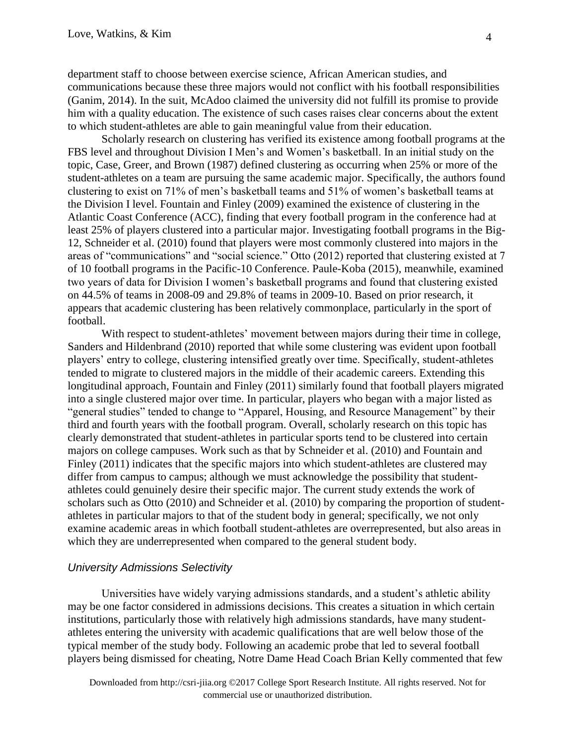department staff to choose between exercise science, African American studies, and communications because these three majors would not conflict with his football responsibilities (Ganim, 2014). In the suit, McAdoo claimed the university did not fulfill its promise to provide him with a quality education. The existence of such cases raises clear concerns about the extent to which student-athletes are able to gain meaningful value from their education.

Scholarly research on clustering has verified its existence among football programs at the FBS level and throughout Division I Men's and Women's basketball. In an initial study on the topic, Case, Greer, and Brown (1987) defined clustering as occurring when 25% or more of the student-athletes on a team are pursuing the same academic major. Specifically, the authors found clustering to exist on 71% of men's basketball teams and 51% of women's basketball teams at the Division I level. Fountain and Finley (2009) examined the existence of clustering in the Atlantic Coast Conference (ACC), finding that every football program in the conference had at least 25% of players clustered into a particular major. Investigating football programs in the Big-12, Schneider et al. (2010) found that players were most commonly clustered into majors in the areas of "communications" and "social science." Otto (2012) reported that clustering existed at 7 of 10 football programs in the Pacific-10 Conference. Paule-Koba (2015), meanwhile, examined two years of data for Division I women's basketball programs and found that clustering existed on 44.5% of teams in 2008-09 and 29.8% of teams in 2009-10. Based on prior research, it appears that academic clustering has been relatively commonplace, particularly in the sport of football.

With respect to student-athletes' movement between majors during their time in college, Sanders and Hildenbrand (2010) reported that while some clustering was evident upon football players' entry to college, clustering intensified greatly over time. Specifically, student-athletes tended to migrate to clustered majors in the middle of their academic careers. Extending this longitudinal approach, Fountain and Finley (2011) similarly found that football players migrated into a single clustered major over time. In particular, players who began with a major listed as "general studies" tended to change to "Apparel, Housing, and Resource Management" by their third and fourth years with the football program. Overall, scholarly research on this topic has clearly demonstrated that student-athletes in particular sports tend to be clustered into certain majors on college campuses. Work such as that by Schneider et al. (2010) and Fountain and Finley (2011) indicates that the specific majors into which student-athletes are clustered may differ from campus to campus; although we must acknowledge the possibility that studentathletes could genuinely desire their specific major. The current study extends the work of scholars such as Otto (2010) and Schneider et al. (2010) by comparing the proportion of studentathletes in particular majors to that of the student body in general; specifically, we not only examine academic areas in which football student-athletes are overrepresented, but also areas in which they are underrepresented when compared to the general student body.

#### *University Admissions Selectivity*

Universities have widely varying admissions standards, and a student's athletic ability may be one factor considered in admissions decisions. This creates a situation in which certain institutions, particularly those with relatively high admissions standards, have many studentathletes entering the university with academic qualifications that are well below those of the typical member of the study body. Following an academic probe that led to several football players being dismissed for cheating, Notre Dame Head Coach Brian Kelly commented that few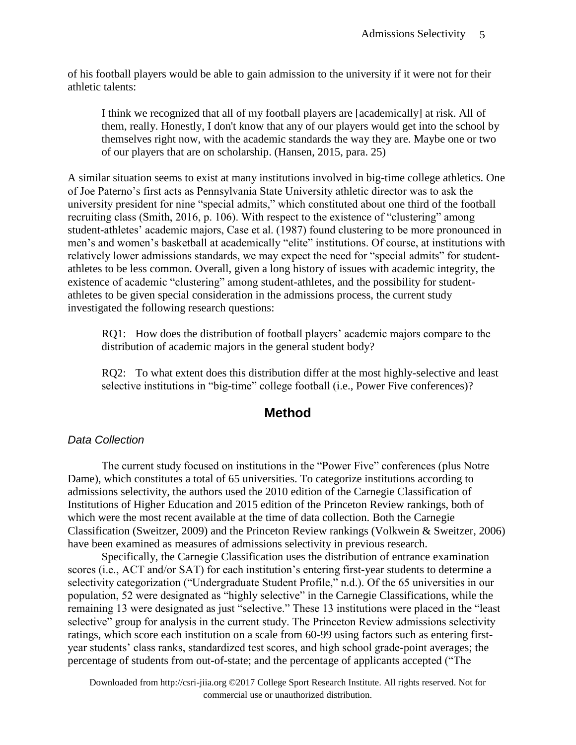of his football players would be able to gain admission to the university if it were not for their athletic talents:

I think we recognized that all of my football players are [academically] at risk. All of them, really. Honestly, I don't know that any of our players would get into the school by themselves right now, with the academic standards the way they are. Maybe one or two of our players that are on scholarship. (Hansen, 2015, para. 25)

A similar situation seems to exist at many institutions involved in big-time college athletics. One of Joe Paterno's first acts as Pennsylvania State University athletic director was to ask the university president for nine "special admits," which constituted about one third of the football recruiting class (Smith, 2016, p. 106). With respect to the existence of "clustering" among student-athletes' academic majors, Case et al. (1987) found clustering to be more pronounced in men's and women's basketball at academically "elite" institutions. Of course, at institutions with relatively lower admissions standards, we may expect the need for "special admits" for studentathletes to be less common. Overall, given a long history of issues with academic integrity, the existence of academic "clustering" among student-athletes, and the possibility for studentathletes to be given special consideration in the admissions process, the current study investigated the following research questions:

RQ1: How does the distribution of football players' academic majors compare to the distribution of academic majors in the general student body?

RQ2: To what extent does this distribution differ at the most highly-selective and least selective institutions in "big-time" college football (i.e., Power Five conferences)?

### **Method**

#### *Data Collection*

The current study focused on institutions in the "Power Five" conferences (plus Notre Dame), which constitutes a total of 65 universities. To categorize institutions according to admissions selectivity, the authors used the 2010 edition of the Carnegie Classification of Institutions of Higher Education and 2015 edition of the Princeton Review rankings, both of which were the most recent available at the time of data collection. Both the Carnegie Classification (Sweitzer, 2009) and the Princeton Review rankings (Volkwein & Sweitzer, 2006) have been examined as measures of admissions selectivity in previous research.

Specifically, the Carnegie Classification uses the distribution of entrance examination scores (i.e., ACT and/or SAT) for each institution's entering first-year students to determine a selectivity categorization ("Undergraduate Student Profile," n.d.). Of the 65 universities in our population, 52 were designated as "highly selective" in the Carnegie Classifications, while the remaining 13 were designated as just "selective." These 13 institutions were placed in the "least selective" group for analysis in the current study. The Princeton Review admissions selectivity ratings, which score each institution on a scale from 60-99 using factors such as entering firstyear students' class ranks, standardized test scores, and high school grade-point averages; the percentage of students from out-of-state; and the percentage of applicants accepted ("The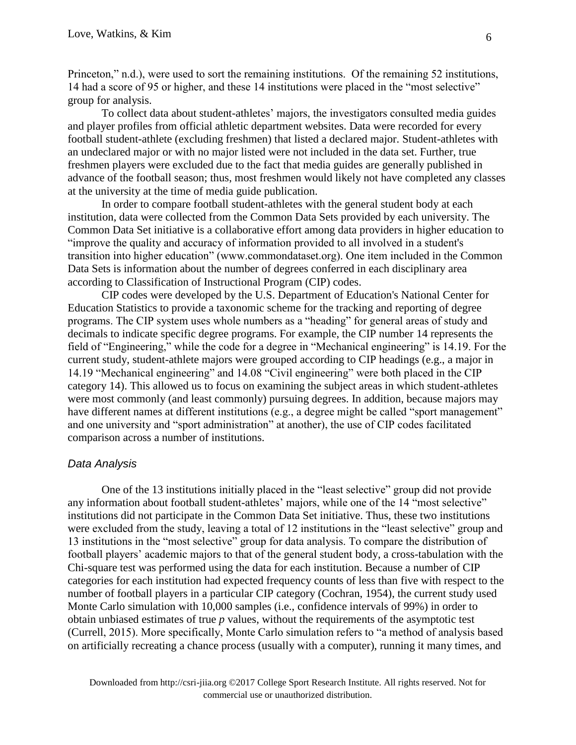Princeton," n.d.), were used to sort the remaining institutions. Of the remaining 52 institutions, 14 had a score of 95 or higher, and these 14 institutions were placed in the "most selective" group for analysis.

To collect data about student-athletes' majors, the investigators consulted media guides and player profiles from official athletic department websites. Data were recorded for every football student-athlete (excluding freshmen) that listed a declared major. Student-athletes with an undeclared major or with no major listed were not included in the data set. Further, true freshmen players were excluded due to the fact that media guides are generally published in advance of the football season; thus, most freshmen would likely not have completed any classes at the university at the time of media guide publication.

In order to compare football student-athletes with the general student body at each institution, data were collected from the Common Data Sets provided by each university. The Common Data Set initiative is a collaborative effort among data providers in higher education to "improve the quality and accuracy of information provided to all involved in a student's transition into higher education" (www.commondataset.org). One item included in the Common Data Sets is information about the number of degrees conferred in each disciplinary area according to Classification of Instructional Program (CIP) codes.

CIP codes were developed by the U.S. Department of Education's National Center for Education Statistics to provide a taxonomic scheme for the tracking and reporting of degree programs. The CIP system uses whole numbers as a "heading" for general areas of study and decimals to indicate specific degree programs. For example, the CIP number 14 represents the field of "Engineering," while the code for a degree in "Mechanical engineering" is 14.19. For the current study, student-athlete majors were grouped according to CIP headings (e.g., a major in 14.19 "Mechanical engineering" and 14.08 "Civil engineering" were both placed in the CIP category 14). This allowed us to focus on examining the subject areas in which student-athletes were most commonly (and least commonly) pursuing degrees. In addition, because majors may have different names at different institutions (e.g., a degree might be called "sport management" and one university and "sport administration" at another), the use of CIP codes facilitated comparison across a number of institutions.

#### *Data Analysis*

One of the 13 institutions initially placed in the "least selective" group did not provide any information about football student-athletes' majors, while one of the 14 "most selective" institutions did not participate in the Common Data Set initiative. Thus, these two institutions were excluded from the study, leaving a total of 12 institutions in the "least selective" group and 13 institutions in the "most selective" group for data analysis. To compare the distribution of football players' academic majors to that of the general student body, a cross-tabulation with the Chi-square test was performed using the data for each institution. Because a number of CIP categories for each institution had expected frequency counts of less than five with respect to the number of football players in a particular CIP category (Cochran, 1954), the current study used Monte Carlo simulation with 10,000 samples (i.e., confidence intervals of 99%) in order to obtain unbiased estimates of true *p* values, without the requirements of the asymptotic test (Currell, 2015). More specifically, Monte Carlo simulation refers to "a method of analysis based on artificially recreating a chance process (usually with a computer), running it many times, and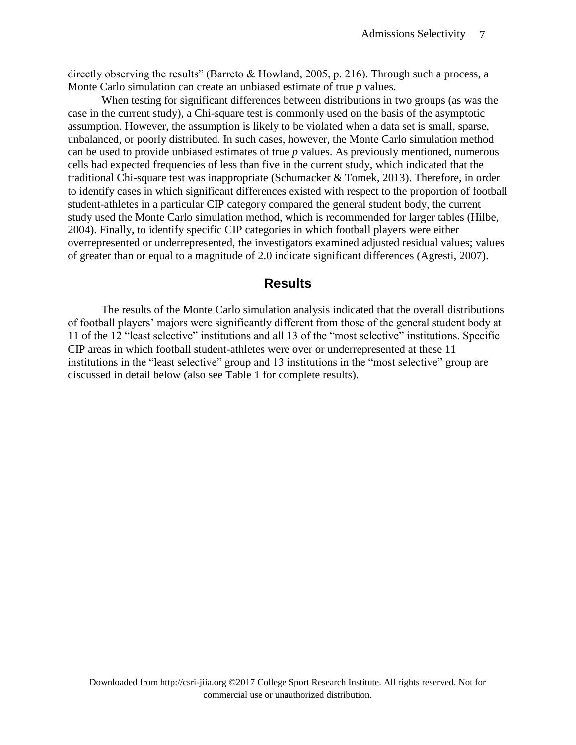directly observing the results" (Barreto & Howland, 2005, p. 216). Through such a process, a Monte Carlo simulation can create an unbiased estimate of true *p* values.

When testing for significant differences between distributions in two groups (as was the case in the current study), a Chi-square test is commonly used on the basis of the asymptotic assumption. However, the assumption is likely to be violated when a data set is small, sparse, unbalanced, or poorly distributed. In such cases, however, the Monte Carlo simulation method can be used to provide unbiased estimates of true *p* values. As previously mentioned, numerous cells had expected frequencies of less than five in the current study, which indicated that the traditional Chi-square test was inappropriate (Schumacker & Tomek, 2013). Therefore, in order to identify cases in which significant differences existed with respect to the proportion of football student-athletes in a particular CIP category compared the general student body, the current study used the Monte Carlo simulation method, which is recommended for larger tables (Hilbe, 2004). Finally, to identify specific CIP categories in which football players were either overrepresented or underrepresented, the investigators examined adjusted residual values; values of greater than or equal to a magnitude of 2.0 indicate significant differences (Agresti, 2007).

### **Results**

The results of the Monte Carlo simulation analysis indicated that the overall distributions of football players' majors were significantly different from those of the general student body at 11 of the 12 "least selective" institutions and all 13 of the "most selective" institutions. Specific CIP areas in which football student-athletes were over or underrepresented at these 11 institutions in the "least selective" group and 13 institutions in the "most selective" group are discussed in detail below (also see Table 1 for complete results).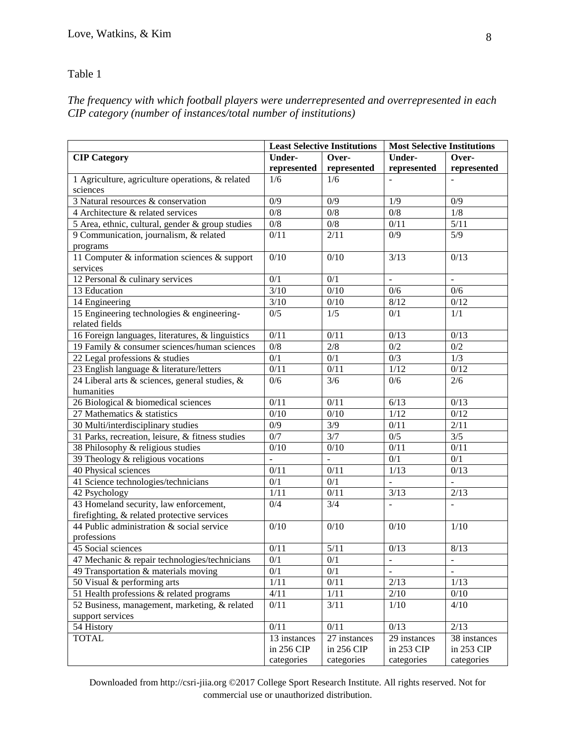#### Table 1

*The frequency with which football players were underrepresented and overrepresented in each CIP category (number of instances/total number of institutions)*

|                                                  | <b>Least Selective Institutions</b> |                          | <b>Most Selective Institutions</b> |                          |
|--------------------------------------------------|-------------------------------------|--------------------------|------------------------------------|--------------------------|
| <b>CIP Category</b>                              | <b>Under-</b>                       | Over-                    | <b>Under-</b>                      | Over-                    |
|                                                  | represented                         | represented              | represented                        | represented              |
| 1 Agriculture, agriculture operations, & related | 1/6                                 | 1/6                      |                                    |                          |
| sciences                                         |                                     |                          |                                    |                          |
| 3 Natural resources & conservation               | 0/9                                 | 0/9                      | 1/9                                | 0/9                      |
| 4 Architecture & related services                | $\overline{0/8}$                    | $\overline{0/8}$         | $\overline{0/8}$                   | 1/8                      |
| 5 Area, ethnic, cultural, gender & group studies | $\overline{0/8}$                    | $0/8$                    | 0/11                               | 5/11                     |
| 9 Communication, journalism, & related           | 0/11                                | 2/11                     | 0/9                                | $\overline{5/9}$         |
| programs                                         |                                     |                          |                                    |                          |
| 11 Computer & information sciences & support     | 0/10                                | 0/10                     | 3/13                               | 0/13                     |
| services                                         |                                     |                          |                                    |                          |
| 12 Personal & culinary services                  | 0/1                                 | 0/1                      | $\overline{\phantom{a}}$           |                          |
| 13 Education                                     | 3/10                                | 0/10                     | 0/6                                | 0/6                      |
| 14 Engineering                                   | $3/10$                              | 0/10                     | 8/12                               | 0/12                     |
| 15 Engineering technologies & engineering-       | 0/5                                 | 1/5                      | 0/1                                | 1/1                      |
| related fields                                   |                                     |                          |                                    |                          |
| 16 Foreign languages, literatures, & linguistics | 0/11                                | 0/11                     | 0/13                               | 0/13                     |
| 19 Family & consumer sciences/human sciences     | $\overline{0/8}$                    | $\overline{2/8}$         | 0/2                                | 0/2                      |
| 22 Legal professions & studies                   | 0/1                                 | 0/1                      | 0/3                                | 1/3                      |
| 23 English language & literature/letters         | 0/11                                | 0/11                     | 1/12                               | 0/12                     |
| 24 Liberal arts & sciences, general studies, &   | 0/6                                 | 3/6                      | 0/6                                | 2/6                      |
| humanities                                       |                                     |                          |                                    |                          |
| 26 Biological & biomedical sciences              | 0/11                                | 0/11                     | 6/13                               | 0/13                     |
| 27 Mathematics & statistics                      | $\overline{0/10}$                   | $\overline{0/10}$        | 1/12                               | $\overline{0/12}$        |
| 30 Multi/interdisciplinary studies               | $\overline{0/9}$                    | $\overline{\frac{3}{9}}$ | 0/11                               | 2/11                     |
| 31 Parks, recreation, leisure, & fitness studies | 0/7                                 | 3/7                      | $\overline{0/5}$                   | 3/5                      |
| 38 Philosophy & religious studies                | $\overline{0/10}$                   | $\overline{0/10}$        | $\overline{0/11}$                  | 0/11                     |
| 39 Theology & religious vocations                | $\overline{a}$                      | $\overline{a}$           | 0/1                                | 0/1                      |
| 40 Physical sciences                             | 0/11                                | 0/11                     | 1/13                               | 0/13                     |
| 41 Science technologies/technicians              | $\overline{0/1}$                    | $\overline{0/1}$         | $\overline{a}$                     | $\overline{a}$           |
| 42 Psychology                                    | 1/11                                | $\overline{0/11}$        | 3/13                               | 2/13                     |
| 43 Homeland security, law enforcement,           | 0/4                                 | $\overline{3/4}$         | $\overline{\phantom{a}}$           |                          |
| firefighting, & related protective services      |                                     |                          |                                    |                          |
| 44 Public administration & social service        | 0/10                                | 0/10                     | 0/10                               | 1/10                     |
| professions                                      |                                     |                          |                                    |                          |
| 45 Social sciences                               | 0/11                                | 5/11                     | 0/13                               | 8/13                     |
| 47 Mechanic & repair technologies/technicians    | $0/1$                               | $0/1$                    |                                    |                          |
| 49 Transportation & materials moving             | 0/1                                 | 0/1                      | $\blacksquare$                     | $\overline{\phantom{a}}$ |
| 50 Visual & performing arts                      | 1/11                                | 0/11                     | 2/13                               | 1/13                     |
| 51 Health professions & related programs         | 4/11                                | 1/11                     | 2/10                               | 0/10                     |
| 52 Business, management, marketing, & related    | 0/11                                | 3/11                     | 1/10                               | 4/10                     |
| support services                                 |                                     |                          |                                    |                          |
| 54 History                                       | 0/11                                | 0/11                     | 0/13                               | 2/13                     |
| <b>TOTAL</b>                                     | 13 instances                        | 27 instances             | 29 instances                       | 38 instances             |
|                                                  | in 256 CIP                          | in 256 CIP               | in 253 CIP                         | in 253 CIP               |
|                                                  | categories                          | categories               | categories                         | categories               |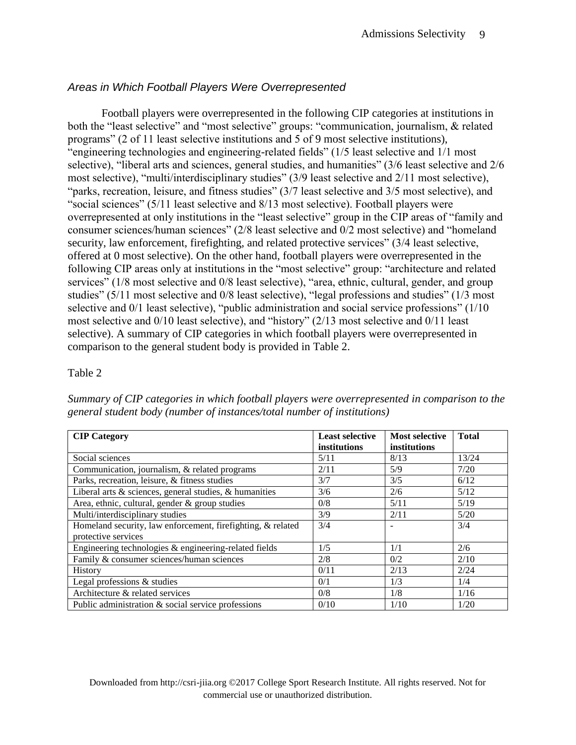### *Areas in Which Football Players Were Overrepresented*

Football players were overrepresented in the following CIP categories at institutions in both the "least selective" and "most selective" groups: "communication, journalism, & related programs" (2 of 11 least selective institutions and 5 of 9 most selective institutions), "engineering technologies and engineering-related fields" (1/5 least selective and 1/1 most selective), "liberal arts and sciences, general studies, and humanities" (3/6 least selective and 2/6 most selective), "multi/interdisciplinary studies" (3/9 least selective and 2/11 most selective), "parks, recreation, leisure, and fitness studies" (3/7 least selective and 3/5 most selective), and "social sciences" (5/11 least selective and 8/13 most selective). Football players were overrepresented at only institutions in the "least selective" group in the CIP areas of "family and consumer sciences/human sciences" (2/8 least selective and 0/2 most selective) and "homeland security, law enforcement, firefighting, and related protective services" (3/4 least selective, offered at 0 most selective). On the other hand, football players were overrepresented in the following CIP areas only at institutions in the "most selective" group: "architecture and related services" (1/8 most selective and 0/8 least selective), "area, ethnic, cultural, gender, and group studies" (5/11 most selective and 0/8 least selective), "legal professions and studies" (1/3 most selective and 0/1 least selective), "public administration and social service professions" (1/10 most selective and 0/10 least selective), and "history" (2/13 most selective and 0/11 least selective). A summary of CIP categories in which football players were overrepresented in comparison to the general student body is provided in Table 2.

#### Table 2

*Summary of CIP categories in which football players were overrepresented in comparison to the general student body (number of instances/total number of institutions)*

| <b>CIP Category</b>                                          | <b>Least selective</b> | <b>Most selective</b> | <b>Total</b> |
|--------------------------------------------------------------|------------------------|-----------------------|--------------|
|                                                              | institutions           | institutions          |              |
| Social sciences                                              | 5/11                   | 8/13                  | 13/24        |
| Communication, journalism, & related programs                | 2/11                   | 5/9                   | 7/20         |
| Parks, recreation, leisure, & fitness studies                | 3/7                    | 3/5                   | 6/12         |
| Liberal arts $\&$ sciences, general studies, $\&$ humanities | 3/6                    | 2/6                   | 5/12         |
| Area, ethnic, cultural, gender & group studies               | 0/8                    | 5/11                  | 5/19         |
| Multi/interdisciplinary studies                              | 3/9                    | 2/11                  | 5/20         |
| Homeland security, law enforcement, firefighting, & related  | 3/4                    |                       | 3/4          |
| protective services                                          |                        |                       |              |
| Engineering technologies & engineering-related fields        | 1/5                    | 1/1                   | 2/6          |
| Family & consumer sciences/human sciences                    | 2/8                    | 0/2                   | 2/10         |
| History                                                      | 0/11                   | 2/13                  | 2/24         |
| Legal professions & studies                                  | 0/1                    | 1/3                   | 1/4          |
| Architecture & related services                              | 0/8                    | 1/8                   | 1/16         |
| Public administration & social service professions           | 0/10                   | 1/10                  | 1/20         |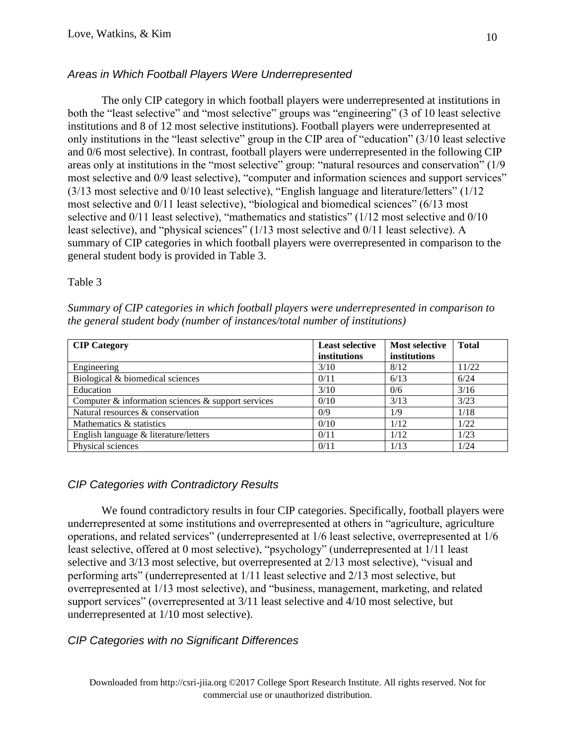# *Areas in Which Football Players Were Underrepresented*

The only CIP category in which football players were underrepresented at institutions in both the "least selective" and "most selective" groups was "engineering" (3 of 10 least selective institutions and 8 of 12 most selective institutions). Football players were underrepresented at only institutions in the "least selective" group in the CIP area of "education" (3/10 least selective and 0/6 most selective). In contrast, football players were underrepresented in the following CIP areas only at institutions in the "most selective" group: "natural resources and conservation" (1/9 most selective and 0/9 least selective), "computer and information sciences and support services" (3/13 most selective and 0/10 least selective), "English language and literature/letters" (1/12 most selective and 0/11 least selective), "biological and biomedical sciences" (6/13 most selective and  $0/11$  least selective), "mathematics and statistics" (1/12 most selective and  $0/10$ least selective), and "physical sciences" (1/13 most selective and 0/11 least selective). A summary of CIP categories in which football players were overrepresented in comparison to the general student body is provided in Table 3.

#### Table 3

*Summary of CIP categories in which football players were underrepresented in comparison to the general student body (number of instances/total number of institutions)*

| <b>CIP</b> Category                                      | <b>Least selective</b><br>institutions | <b>Most selective</b><br>institutions | <b>Total</b> |
|----------------------------------------------------------|----------------------------------------|---------------------------------------|--------------|
| Engineering                                              | 3/10                                   | 8/12                                  | 11/22        |
| Biological & biomedical sciences                         | 0/11                                   | 6/13                                  | 6/24         |
| Education                                                | 3/10                                   | 0/6                                   | 3/16         |
| Computer $\&$ information sciences $\&$ support services | 0/10                                   | 3/13                                  | 3/23         |
| Natural resources & conservation                         | 0/9                                    | 1/9                                   | 1/18         |
| Mathematics & statistics                                 | 0/10                                   | 1/12                                  | 1/22         |
| English language & literature/letters                    | 0/11                                   | 1/12                                  | 1/23         |
| Physical sciences                                        | 0/11                                   | 1/13                                  | 1/24         |

### *CIP Categories with Contradictory Results*

We found contradictory results in four CIP categories. Specifically, football players were underrepresented at some institutions and overrepresented at others in "agriculture, agriculture operations, and related services" (underrepresented at 1/6 least selective, overrepresented at 1/6 least selective, offered at 0 most selective), "psychology" (underrepresented at 1/11 least selective and 3/13 most selective, but overrepresented at 2/13 most selective), "visual and performing arts" (underrepresented at 1/11 least selective and 2/13 most selective, but overrepresented at 1/13 most selective), and "business, management, marketing, and related support services" (overrepresented at 3/11 least selective and 4/10 most selective, but underrepresented at 1/10 most selective).

### *CIP Categories with no Significant Differences*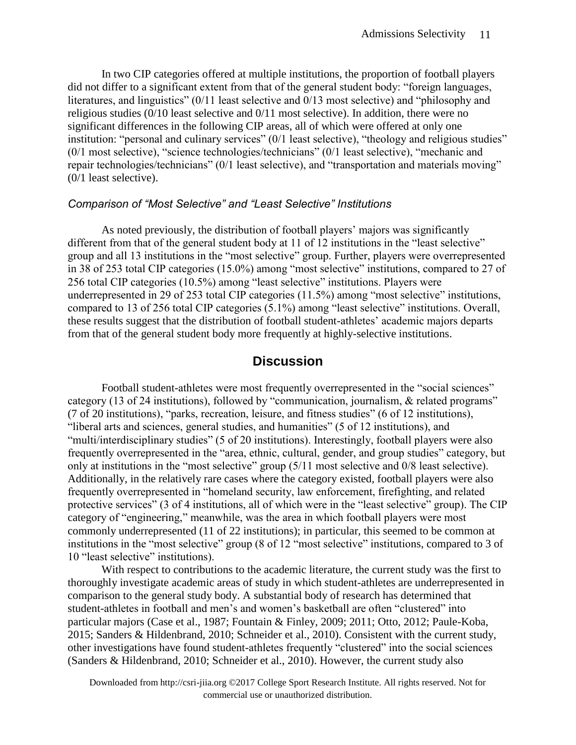In two CIP categories offered at multiple institutions, the proportion of football players did not differ to a significant extent from that of the general student body: "foreign languages, literatures, and linguistics" (0/11 least selective and 0/13 most selective) and "philosophy and religious studies (0/10 least selective and 0/11 most selective). In addition, there were no significant differences in the following CIP areas, all of which were offered at only one institution: "personal and culinary services" (0/1 least selective), "theology and religious studies" (0/1 most selective), "science technologies/technicians" (0/1 least selective), "mechanic and repair technologies/technicians" (0/1 least selective), and "transportation and materials moving" (0/1 least selective).

#### *Comparison of "Most Selective" and "Least Selective" Institutions*

As noted previously, the distribution of football players' majors was significantly different from that of the general student body at 11 of 12 institutions in the "least selective" group and all 13 institutions in the "most selective" group. Further, players were overrepresented in 38 of 253 total CIP categories (15.0%) among "most selective" institutions, compared to 27 of 256 total CIP categories (10.5%) among "least selective" institutions. Players were underrepresented in 29 of 253 total CIP categories (11.5%) among "most selective" institutions, compared to 13 of 256 total CIP categories (5.1%) among "least selective" institutions. Overall, these results suggest that the distribution of football student-athletes' academic majors departs from that of the general student body more frequently at highly-selective institutions.

# **Discussion**

Football student-athletes were most frequently overrepresented in the "social sciences" category (13 of 24 institutions), followed by "communication, journalism, & related programs" (7 of 20 institutions), "parks, recreation, leisure, and fitness studies" (6 of 12 institutions), "liberal arts and sciences, general studies, and humanities" (5 of 12 institutions), and "multi/interdisciplinary studies" (5 of 20 institutions). Interestingly, football players were also frequently overrepresented in the "area, ethnic, cultural, gender, and group studies" category, but only at institutions in the "most selective" group (5/11 most selective and 0/8 least selective). Additionally, in the relatively rare cases where the category existed, football players were also frequently overrepresented in "homeland security, law enforcement, firefighting, and related protective services" (3 of 4 institutions, all of which were in the "least selective" group). The CIP category of "engineering," meanwhile, was the area in which football players were most commonly underrepresented (11 of 22 institutions); in particular, this seemed to be common at institutions in the "most selective" group (8 of 12 "most selective" institutions, compared to 3 of 10 "least selective" institutions).

With respect to contributions to the academic literature, the current study was the first to thoroughly investigate academic areas of study in which student-athletes are underrepresented in comparison to the general study body. A substantial body of research has determined that student-athletes in football and men's and women's basketball are often "clustered" into particular majors (Case et al., 1987; Fountain & Finley, 2009; 2011; Otto, 2012; Paule-Koba, 2015; Sanders & Hildenbrand, 2010; Schneider et al., 2010). Consistent with the current study, other investigations have found student-athletes frequently "clustered" into the social sciences (Sanders & Hildenbrand, 2010; Schneider et al., 2010). However, the current study also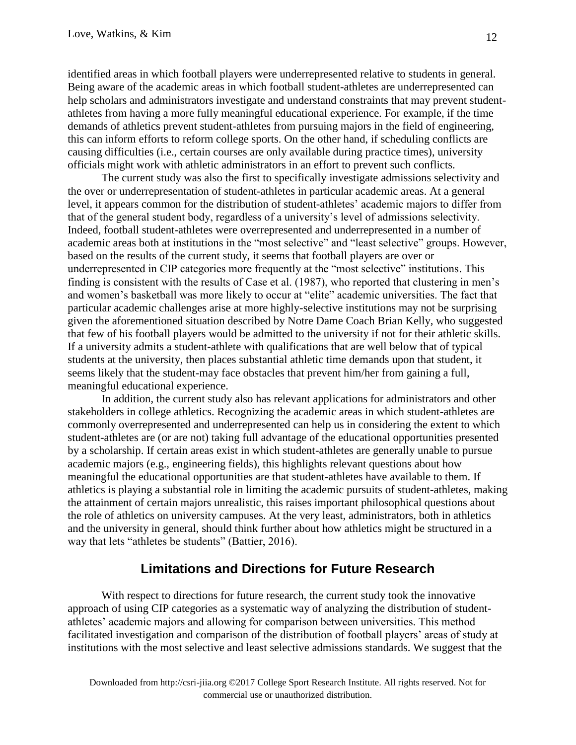identified areas in which football players were underrepresented relative to students in general. Being aware of the academic areas in which football student-athletes are underrepresented can help scholars and administrators investigate and understand constraints that may prevent studentathletes from having a more fully meaningful educational experience. For example, if the time demands of athletics prevent student-athletes from pursuing majors in the field of engineering, this can inform efforts to reform college sports. On the other hand, if scheduling conflicts are causing difficulties (i.e., certain courses are only available during practice times), university officials might work with athletic administrators in an effort to prevent such conflicts.

The current study was also the first to specifically investigate admissions selectivity and the over or underrepresentation of student-athletes in particular academic areas. At a general level, it appears common for the distribution of student-athletes' academic majors to differ from that of the general student body, regardless of a university's level of admissions selectivity. Indeed, football student-athletes were overrepresented and underrepresented in a number of academic areas both at institutions in the "most selective" and "least selective" groups. However, based on the results of the current study, it seems that football players are over or underrepresented in CIP categories more frequently at the "most selective" institutions. This finding is consistent with the results of Case et al. (1987), who reported that clustering in men's and women's basketball was more likely to occur at "elite" academic universities. The fact that particular academic challenges arise at more highly-selective institutions may not be surprising given the aforementioned situation described by Notre Dame Coach Brian Kelly, who suggested that few of his football players would be admitted to the university if not for their athletic skills. If a university admits a student-athlete with qualifications that are well below that of typical students at the university, then places substantial athletic time demands upon that student, it seems likely that the student-may face obstacles that prevent him/her from gaining a full, meaningful educational experience.

In addition, the current study also has relevant applications for administrators and other stakeholders in college athletics. Recognizing the academic areas in which student-athletes are commonly overrepresented and underrepresented can help us in considering the extent to which student-athletes are (or are not) taking full advantage of the educational opportunities presented by a scholarship. If certain areas exist in which student-athletes are generally unable to pursue academic majors (e.g., engineering fields), this highlights relevant questions about how meaningful the educational opportunities are that student-athletes have available to them. If athletics is playing a substantial role in limiting the academic pursuits of student-athletes, making the attainment of certain majors unrealistic, this raises important philosophical questions about the role of athletics on university campuses. At the very least, administrators, both in athletics and the university in general, should think further about how athletics might be structured in a way that lets "athletes be students" (Battier, 2016).

# **Limitations and Directions for Future Research**

With respect to directions for future research, the current study took the innovative approach of using CIP categories as a systematic way of analyzing the distribution of studentathletes' academic majors and allowing for comparison between universities. This method facilitated investigation and comparison of the distribution of football players' areas of study at institutions with the most selective and least selective admissions standards. We suggest that the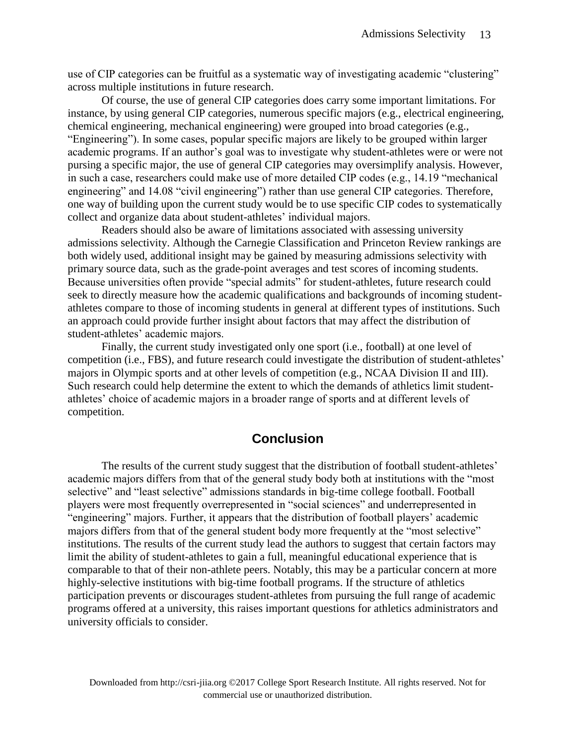use of CIP categories can be fruitful as a systematic way of investigating academic "clustering" across multiple institutions in future research.

Of course, the use of general CIP categories does carry some important limitations. For instance, by using general CIP categories, numerous specific majors (e.g., electrical engineering, chemical engineering, mechanical engineering) were grouped into broad categories (e.g., "Engineering"). In some cases, popular specific majors are likely to be grouped within larger academic programs. If an author's goal was to investigate why student-athletes were or were not pursing a specific major, the use of general CIP categories may oversimplify analysis. However, in such a case, researchers could make use of more detailed CIP codes (e.g., 14.19 "mechanical engineering" and 14.08 "civil engineering") rather than use general CIP categories. Therefore, one way of building upon the current study would be to use specific CIP codes to systematically collect and organize data about student-athletes' individual majors.

Readers should also be aware of limitations associated with assessing university admissions selectivity. Although the Carnegie Classification and Princeton Review rankings are both widely used, additional insight may be gained by measuring admissions selectivity with primary source data, such as the grade-point averages and test scores of incoming students. Because universities often provide "special admits" for student-athletes, future research could seek to directly measure how the academic qualifications and backgrounds of incoming studentathletes compare to those of incoming students in general at different types of institutions. Such an approach could provide further insight about factors that may affect the distribution of student-athletes' academic majors.

Finally, the current study investigated only one sport (i.e., football) at one level of competition (i.e., FBS), and future research could investigate the distribution of student-athletes' majors in Olympic sports and at other levels of competition (e.g., NCAA Division II and III). Such research could help determine the extent to which the demands of athletics limit studentathletes' choice of academic majors in a broader range of sports and at different levels of competition.

### **Conclusion**

The results of the current study suggest that the distribution of football student-athletes' academic majors differs from that of the general study body both at institutions with the "most selective" and "least selective" admissions standards in big-time college football. Football players were most frequently overrepresented in "social sciences" and underrepresented in "engineering" majors. Further, it appears that the distribution of football players' academic majors differs from that of the general student body more frequently at the "most selective" institutions. The results of the current study lead the authors to suggest that certain factors may limit the ability of student-athletes to gain a full, meaningful educational experience that is comparable to that of their non-athlete peers. Notably, this may be a particular concern at more highly-selective institutions with big-time football programs. If the structure of athletics participation prevents or discourages student-athletes from pursuing the full range of academic programs offered at a university, this raises important questions for athletics administrators and university officials to consider.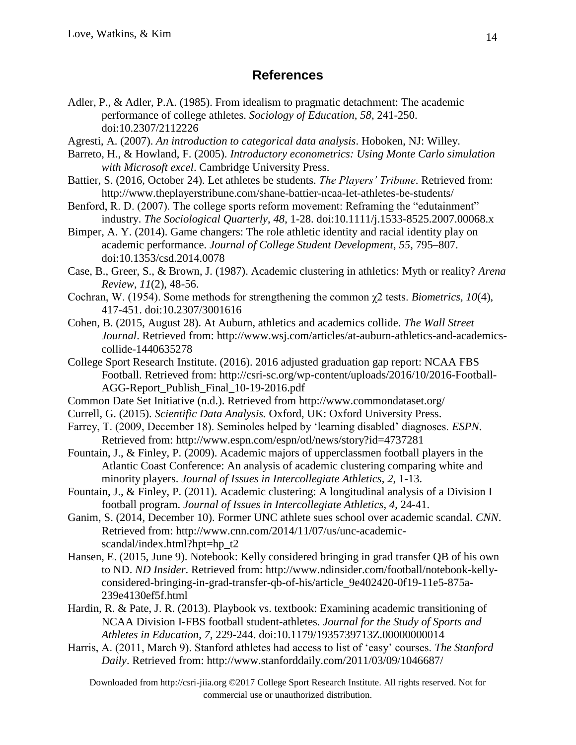# **References**

- Adler, P., & Adler, P.A. (1985). From idealism to pragmatic detachment: The academic performance of college athletes. *Sociology of Education*, *58*, 241-250. doi:10.2307/2112226
- Agresti, A. (2007). *An introduction to categorical data analysis*. Hoboken, NJ: Willey.
- Barreto, H., & Howland, F. (2005). *Introductory econometrics: Using Monte Carlo simulation with Microsoft excel*. Cambridge University Press.
- Battier, S. (2016, October 24). Let athletes be students. *The Players' Tribune*. Retrieved from: http://www.theplayerstribune.com/shane-battier-ncaa-let-athletes-be-students/
- Benford, R. D. (2007). The college sports reform movement: Reframing the "edutainment" industry. *The Sociological Quarterly*, *48*, 1-28. doi:10.1111/j.1533-8525.2007.00068.x
- Bimper, A. Y. (2014). Game changers: The role athletic identity and racial identity play on academic performance. *Journal of College Student Development*, *55*, 795–807. doi:10.1353/csd.2014.0078
- Case, B., Greer, S., & Brown, J. (1987). Academic clustering in athletics: Myth or reality? *Arena Review*, *11*(2), 48-56.
- Cochran, W. (1954). Some methods for strengthening the common χ2 tests. *Biometrics, 10*(4), 417-451. doi:10.2307/3001616
- Cohen, B. (2015, August 28). At Auburn, athletics and academics collide. *The Wall Street Journal*. Retrieved from: http://www.wsj.com/articles/at-auburn-athletics-and-academicscollide-1440635278
- College Sport Research Institute. (2016). 2016 adjusted graduation gap report: NCAA FBS Football. Retrieved from: http://csri-sc.org/wp-content/uploads/2016/10/2016-Football-AGG-Report\_Publish\_Final\_10-19-2016.pdf
- Common Date Set Initiative (n.d.). Retrieved from http://www.commondataset.org/
- Currell, G. (2015). *Scientific Data Analysis.* Oxford, UK: Oxford University Press.
- Farrey, T. (2009, December 18). Seminoles helped by 'learning disabled' diagnoses. *ESPN*. Retrieved from: http://www.espn.com/espn/otl/news/story?id=4737281
- Fountain, J., & Finley, P. (2009). Academic majors of upperclassmen football players in the Atlantic Coast Conference: An analysis of academic clustering comparing white and minority players. *Journal of Issues in Intercollegiate Athletics*, *2*, 1-13.
- Fountain, J., & Finley, P. (2011). Academic clustering: A longitudinal analysis of a Division I football program. *Journal of Issues in Intercollegiate Athletics*, *4*, 24-41.
- Ganim, S. (2014, December 10). Former UNC athlete sues school over academic scandal. *CNN*. Retrieved from: http://www.cnn.com/2014/11/07/us/unc-academicscandal/index.html?hpt=hp\_t2
- Hansen, E. (2015, June 9). Notebook: Kelly considered bringing in grad transfer QB of his own to ND. *ND Insider*. Retrieved from: http://www.ndinsider.com/football/notebook-kellyconsidered-bringing-in-grad-transfer-qb-of-his/article\_9e402420-0f19-11e5-875a-239e4130ef5f.html
- Hardin, R. & Pate, J. R. (2013). Playbook vs. textbook: Examining academic transitioning of NCAA Division I-FBS football student-athletes. *Journal for the Study of Sports and Athletes in Education*, *7*, 229-244. doi:10.1179/1935739713Z.00000000014
- Harris, A. (2011, March 9). Stanford athletes had access to list of 'easy' courses. *The Stanford Daily*. Retrieved from: http://www.stanforddaily.com/2011/03/09/1046687/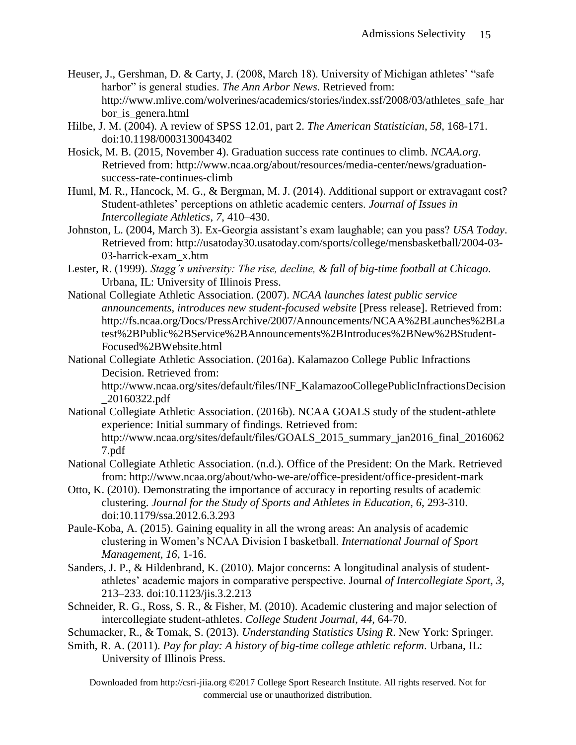- Heuser, J., Gershman, D. & Carty, J. (2008, March 18). University of Michigan athletes' "safe harbor" is general studies. *The Ann Arbor News*. Retrieved from: http://www.mlive.com/wolverines/academics/stories/index.ssf/2008/03/athletes\_safe\_har bor\_is\_genera.html
- Hilbe, J. M. (2004). A review of SPSS 12.01, part 2. *The American Statistician*, *58*, 168-171. doi:10.1198/0003130043402
- Hosick, M. B. (2015, November 4). Graduation success rate continues to climb. *NCAA.org*. Retrieved from: http://www.ncaa.org/about/resources/media-center/news/graduationsuccess-rate-continues-climb
- Huml, M. R., Hancock, M. G., & Bergman, M. J. (2014). Additional support or extravagant cost? Student-athletes' perceptions on athletic academic centers. *Journal of Issues in Intercollegiate Athletics*, *7*, 410–430.
- Johnston, L. (2004, March 3). Ex-Georgia assistant's exam laughable; can you pass? *USA Today*. Retrieved from: http://usatoday30.usatoday.com/sports/college/mensbasketball/2004-03- 03-harrick-exam\_x.htm
- Lester, R. (1999). *Stagg's university: The rise, decline, & fall of big-time football at Chicago*. Urbana, IL: University of Illinois Press.
- National Collegiate Athletic Association. (2007). *NCAA launches latest public service announcements, introduces new student-focused website* [Press release]. Retrieved from: http://fs.ncaa.org/Docs/PressArchive/2007/Announcements/NCAA%2BLaunches%2BLa test%2BPublic%2BService%2BAnnouncements%2BIntroduces%2BNew%2BStudent-Focused%2BWebsite.html
- National Collegiate Athletic Association. (2016a). Kalamazoo College Public Infractions Decision. Retrieved from:

http://www.ncaa.org/sites/default/files/INF\_KalamazooCollegePublicInfractionsDecision \_20160322.pdf

- National Collegiate Athletic Association. (2016b). NCAA GOALS study of the student-athlete experience: Initial summary of findings. Retrieved from: http://www.ncaa.org/sites/default/files/GOALS\_2015\_summary\_jan2016\_final\_2016062 7.pdf
- National Collegiate Athletic Association. (n.d.). Office of the President: On the Mark. Retrieved from: http://www.ncaa.org/about/who-we-are/office-president/office-president-mark
- Otto, K. (2010). Demonstrating the importance of accuracy in reporting results of academic clustering. *Journal for the Study of Sports and Athletes in Education*, *6*, 293-310. doi:10.1179/ssa.2012.6.3.293
- Paule-Koba, A. (2015). Gaining equality in all the wrong areas: An analysis of academic clustering in Women's NCAA Division I basketball. *International Journal of Sport Management*, *16*, 1-16.
- Sanders, J. P., & Hildenbrand, K. (2010). Major concerns: A longitudinal analysis of studentathletes' academic majors in comparative perspective. Journal *of Intercollegiate Sport*, *3*, 213–233. doi:10.1123/jis.3.2.213
- Schneider, R. G., Ross, S. R., & Fisher, M. (2010). Academic clustering and major selection of intercollegiate student-athletes. *College Student Journal*, *44*, 64-70.

Schumacker, R., & Tomak, S. (2013). *Understanding Statistics Using R*. New York: Springer.

Smith, R. A. (2011). *Pay for play: A history of big-time college athletic reform*. Urbana, IL: University of Illinois Press.